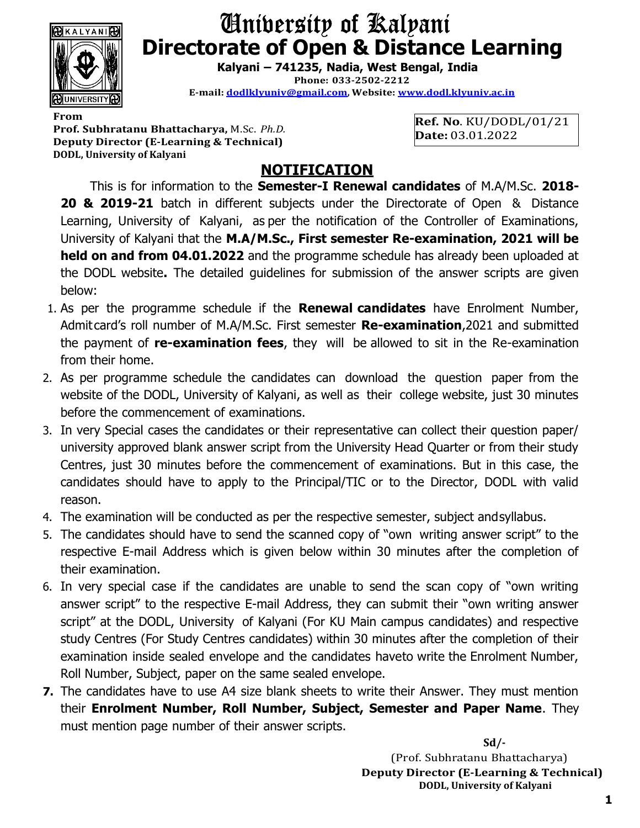

## University of Kalyani Directorate of Open & Distance Learning

Kalyani – 741235, Nadia, West Bengal, India Phone: 033-2502-2212 E-mail: dodlklyuniv@gmail.com, Website: www.dodl.klyuniv.ac.in

From the contract of the contract of the contract of the contract of the contract of the contract of the contract of the contract of the contract of the contract of the contract of the contract of the contract of the contr Prof. Subhratanu Bhattacharya, M.Sc. Ph.D. Deputy Director (E-Learning & Technical) DODL, University of Kalyani

Ref. No. KU/DODL/01/21 Date: 03.01.2022

## NOTIFICATION

This is for information to the Semester-I Renewal candidates of M.A/M.Sc. 2018- 20 & 2019-21 batch in different subjects under the Directorate of Open & Distance Learning, University of Kalyani, as per the notification of the Controller of Examinations, University of Kalyani that the M.A/M.Sc., First semester Re-examination, 2021 will be held on and from 04.01.2022 and the programme schedule has already been uploaded at the DODL website. The detailed guidelines for submission of the answer scripts are given below:

- 1. As per the programme schedule if the **Renewal candidates** have Enrolment Number, Admit card's roll number of M.A/M.Sc. First semester Re-examination, 2021 and submitted the payment of re-examination fees, they will be allowed to sit in the Re-examination from their home.
- 2. As per programme schedule the candidates can download the question paper from the website of the DODL, University of Kalyani, as well as their college website, just 30 minutes before the commencement of examinations.
- 3. In very Special cases the candidates or their representative can collect their question paper/ university approved blank answer script from the University Head Quarter or from their study Centres, just 30 minutes before the commencement of examinations. But in this case, the candidates should have to apply to the Principal/TIC or to the Director, DODL with valid reason.
- 4. The examination will be conducted as per the respective semester, subject and syllabus.
- 5. The candidates should have to send the scanned copy of "own writing answer script" to the respective E-mail Address which is given below within 30 minutes after the completion of their examination.
- 6. In very special case if the candidates are unable to send the scan copy of "own writing answer script" to the respective E-mail Address, they can submit their "own writing answer script" at the DODL, University of Kalyani (For KU Main campus candidates) and respective study Centres (For Study Centres candidates) within 30 minutes after the completion of their examination inside sealed envelope and the candidates haveto write the Enrolment Number, Roll Number, Subject, paper on the same sealed envelope.
- **7.** The candidates have to use A4 size blank sheets to write their Answer. They must mention their Enrolment Number, Roll Number, Subject, Semester and Paper Name. They must mention page number of their answer scripts.

 Sd/- (Prof. Subhratanu Bhattacharya) Deputy Director (E-Learning & Technical) DODL, University of Kalyani